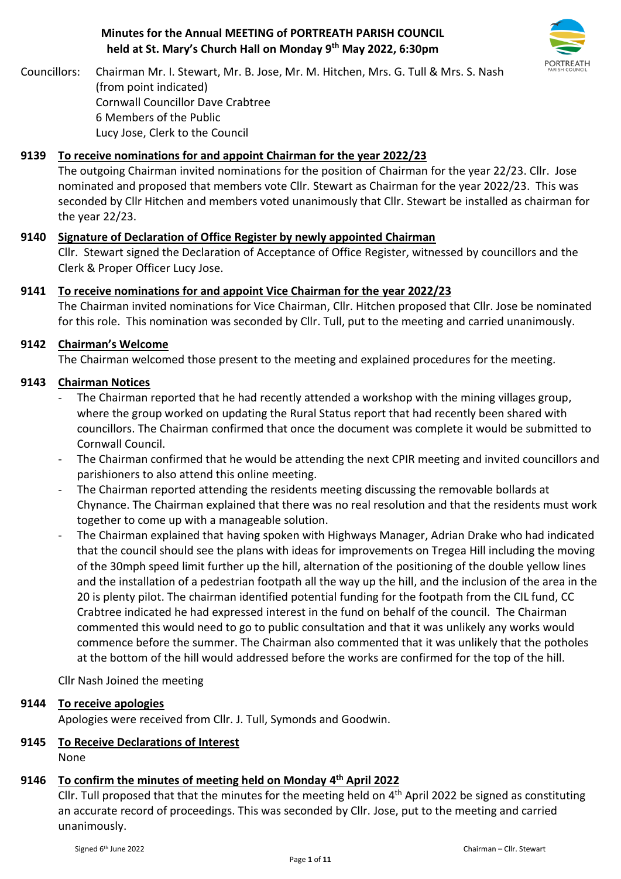# **Minutes for the Annual MEETING of PORTREATH PARISH COUNCIL held at St. Mary's Church Hall on Monday 9 th May 2022, 6:30pm**



Councillors: Chairman Mr. I. Stewart, Mr. B. Jose, Mr. M. Hitchen, Mrs. G. Tull & Mrs. S. Nash (from point indicated) Cornwall Councillor Dave Crabtree 6 Members of the Public Lucy Jose, Clerk to the Council

# **9139 To receive nominations for and appoint Chairman for the year 2022/23**

The outgoing Chairman invited nominations for the position of Chairman for the year 22/23. Cllr. Jose nominated and proposed that members vote Cllr. Stewart as Chairman for the year 2022/23. This was seconded by Cllr Hitchen and members voted unanimously that Cllr. Stewart be installed as chairman for the year 22/23.

### **9140 Signature of Declaration of Office Register by newly appointed Chairman**

Cllr. Stewart signed the Declaration of Acceptance of Office Register, witnessed by councillors and the Clerk & Proper Officer Lucy Jose.

#### **9141 To receive nominations for and appoint Vice Chairman for the year 2022/23**

The Chairman invited nominations for Vice Chairman, Cllr. Hitchen proposed that Cllr. Jose be nominated for this role. This nomination was seconded by Cllr. Tull, put to the meeting and carried unanimously.

#### **9142 Chairman's Welcome**

The Chairman welcomed those present to the meeting and explained procedures for the meeting.

#### **9143 Chairman Notices**

- The Chairman reported that he had recently attended a workshop with the mining villages group, where the group worked on updating the Rural Status report that had recently been shared with councillors. The Chairman confirmed that once the document was complete it would be submitted to Cornwall Council.
- The Chairman confirmed that he would be attending the next CPIR meeting and invited councillors and parishioners to also attend this online meeting.
- The Chairman reported attending the residents meeting discussing the removable bollards at Chynance. The Chairman explained that there was no real resolution and that the residents must work together to come up with a manageable solution.
- The Chairman explained that having spoken with Highways Manager, Adrian Drake who had indicated that the council should see the plans with ideas for improvements on Tregea Hill including the moving of the 30mph speed limit further up the hill, alternation of the positioning of the double yellow lines and the installation of a pedestrian footpath all the way up the hill, and the inclusion of the area in the 20 is plenty pilot. The chairman identified potential funding for the footpath from the CIL fund, CC Crabtree indicated he had expressed interest in the fund on behalf of the council. The Chairman commented this would need to go to public consultation and that it was unlikely any works would commence before the summer. The Chairman also commented that it was unlikely that the potholes at the bottom of the hill would addressed before the works are confirmed for the top of the hill.

Cllr Nash Joined the meeting

#### **9144 To receive apologies**

Apologies were received from Cllr. J. Tull, Symonds and Goodwin.

# **9145 To Receive Declarations of Interest**

None

#### **9146 To confirm the minutes of meeting held on Monday 4 th April 2022**

Cllr. Tull proposed that that the minutes for the meeting held on 4<sup>th</sup> April 2022 be signed as constituting an accurate record of proceedings. This was seconded by Cllr. Jose, put to the meeting and carried unanimously.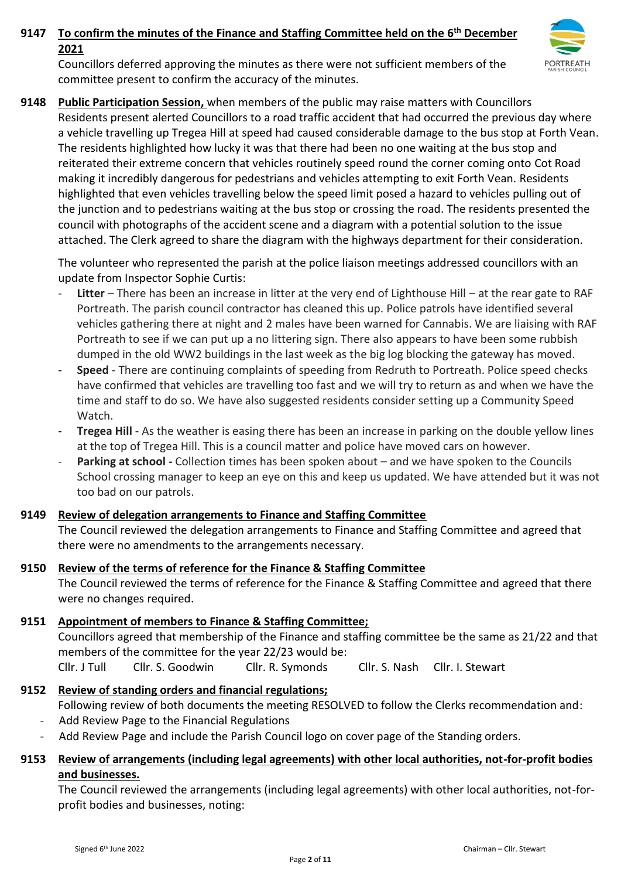# **9147 To confirm the minutes of the Finance and Staffing Committee held on the 6 th December 2021**



Councillors deferred approving the minutes as there were not sufficient members of the committee present to confirm the accuracy of the minutes.

**9148 Public Participation Session,** when members of the public may raise matters with Councillors Residents present alerted Councillors to a road traffic accident that had occurred the previous day where a vehicle travelling up Tregea Hill at speed had caused considerable damage to the bus stop at Forth Vean. The residents highlighted how lucky it was that there had been no one waiting at the bus stop and reiterated their extreme concern that vehicles routinely speed round the corner coming onto Cot Road making it incredibly dangerous for pedestrians and vehicles attempting to exit Forth Vean. Residents highlighted that even vehicles travelling below the speed limit posed a hazard to vehicles pulling out of the junction and to pedestrians waiting at the bus stop or crossing the road. The residents presented the council with photographs of the accident scene and a diagram with a potential solution to the issue attached. The Clerk agreed to share the diagram with the highways department for their consideration.

The volunteer who represented the parish at the police liaison meetings addressed councillors with an update from Inspector Sophie Curtis:

- Litter There has been an increase in litter at the very end of Lighthouse Hill at the rear gate to RAF Portreath. The parish council contractor has cleaned this up. Police patrols have identified several vehicles gathering there at night and 2 males have been warned for Cannabis. We are liaising with RAF Portreath to see if we can put up a no littering sign. There also appears to have been some rubbish dumped in the old WW2 buildings in the last week as the big log blocking the gateway has moved.
- Speed There are continuing complaints of speeding from Redruth to Portreath. Police speed checks have confirmed that vehicles are travelling too fast and we will try to return as and when we have the time and staff to do so. We have also suggested residents consider setting up a Community Speed Watch.
- **Tregea Hill** As the weather is easing there has been an increase in parking on the double yellow lines at the top of Tregea Hill. This is a council matter and police have moved cars on however.
- Parking at school Collection times has been spoken about and we have spoken to the Councils School crossing manager to keep an eye on this and keep us updated. We have attended but it was not too bad on our patrols.

### **9149 Review of delegation arrangements to Finance and Staffing Committee**

The Council reviewed the delegation arrangements to Finance and Staffing Committee and agreed that there were no amendments to the arrangements necessary.

#### **9150 Review of the terms of reference for the Finance & Staffing Committee**

The Council reviewed the terms of reference for the Finance & Staffing Committee and agreed that there were no changes required.

#### **9151 Appointment of members to Finance & Staffing Committee;**

Councillors agreed that membership of the Finance and staffing committee be the same as 21/22 and that members of the committee for the year 22/23 would be: Cllr. J Tull Cllr. S. Goodwin Cllr. R. Symonds Cllr. S. Nash Cllr. I. Stewart

#### **9152 Review of standing orders and financial regulations;**

Following review of both documents the meeting RESOLVED to follow the Clerks recommendation and:

- Add Review Page to the Financial Regulations
- Add Review Page and include the Parish Council logo on cover page of the Standing orders.

### **9153 Review of arrangements (including legal agreements) with other local authorities, not-for-profit bodies and businesses.**

The Council reviewed the arrangements (including legal agreements) with other local authorities, not-forprofit bodies and businesses, noting: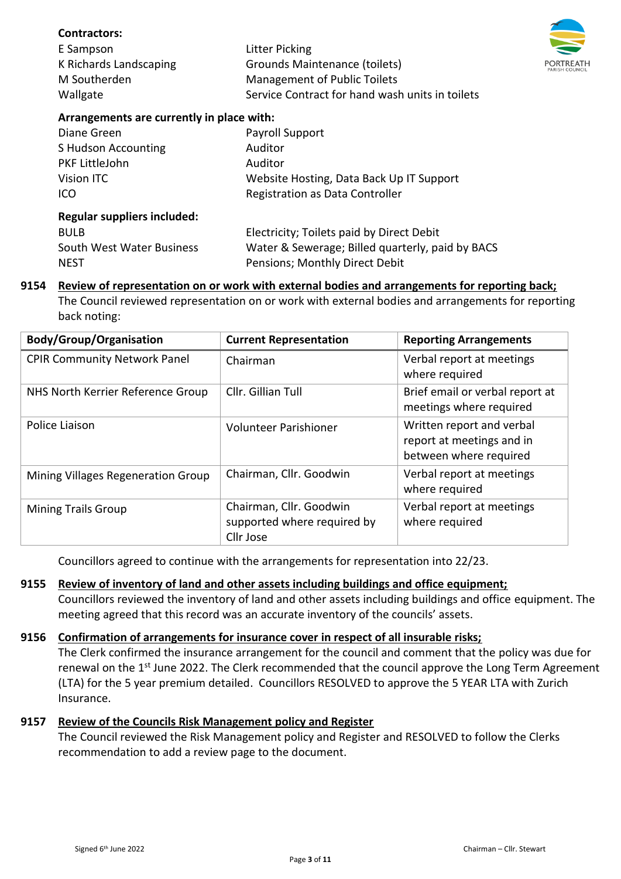| <b>Contractors:</b>                       |                                                  |
|-------------------------------------------|--------------------------------------------------|
| E Sampson                                 | <b>Litter Picking</b>                            |
| K Richards Landscaping                    | <b>Grounds Maintenance (toilets)</b>             |
| M Southerden                              | <b>Management of Public Toilets</b>              |
| Wallgate                                  | Service Contract for hand wash units in toilets  |
| Arrangements are currently in place with: |                                                  |
| Diane Green                               | Payroll Support                                  |
| S Hudson Accounting                       | Auditor                                          |
| PKF LittleJohn                            | Auditor                                          |
| Vision ITC                                | Website Hosting, Data Back Up IT Support         |
| ICO                                       | Registration as Data Controller                  |
| <b>Regular suppliers included:</b>        |                                                  |
| <b>BULB</b>                               | Electricity; Toilets paid by Direct Debit        |
| South West Water Business                 | Water & Sewerage; Billed quarterly, paid by BACS |
| NEST                                      | Pensions; Monthly Direct Debit                   |
|                                           |                                                  |

#### **9154 Review of representation on or work with external bodies and arrangements for reporting back;**

The Council reviewed representation on or work with external bodies and arrangements for reporting back noting:

| <b>Body/Group/Organisation</b>      | <b>Current Representation</b>                                       | <b>Reporting Arrangements</b>                                                    |
|-------------------------------------|---------------------------------------------------------------------|----------------------------------------------------------------------------------|
| <b>CPIR Community Network Panel</b> | Chairman                                                            | Verbal report at meetings<br>where required                                      |
| NHS North Kerrier Reference Group   | Cllr. Gillian Tull                                                  | Brief email or verbal report at<br>meetings where required                       |
| Police Liaison                      | <b>Volunteer Parishioner</b>                                        | Written report and verbal<br>report at meetings and in<br>between where required |
| Mining Villages Regeneration Group  | Chairman, Cllr. Goodwin                                             | Verbal report at meetings<br>where required                                      |
| <b>Mining Trails Group</b>          | Chairman, Cllr. Goodwin<br>supported where required by<br>Cllr Jose | Verbal report at meetings<br>where required                                      |

Councillors agreed to continue with the arrangements for representation into 22/23.

#### **9155 Review of inventory of land and other assets including buildings and office equipment;**

Councillors reviewed the inventory of land and other assets including buildings and office equipment. The meeting agreed that this record was an accurate inventory of the councils' assets.

#### **9156 Confirmation of arrangements for insurance cover in respect of all insurable risks;**

The Clerk confirmed the insurance arrangement for the council and comment that the policy was due for renewal on the 1<sup>st</sup> June 2022. The Clerk recommended that the council approve the Long Term Agreement (LTA) for the 5 year premium detailed. Councillors RESOLVED to approve the 5 YEAR LTA with Zurich Insurance.

#### **9157 Review of the Councils Risk Management policy and Register**

The Council reviewed the Risk Management policy and Register and RESOLVED to follow the Clerks recommendation to add a review page to the document.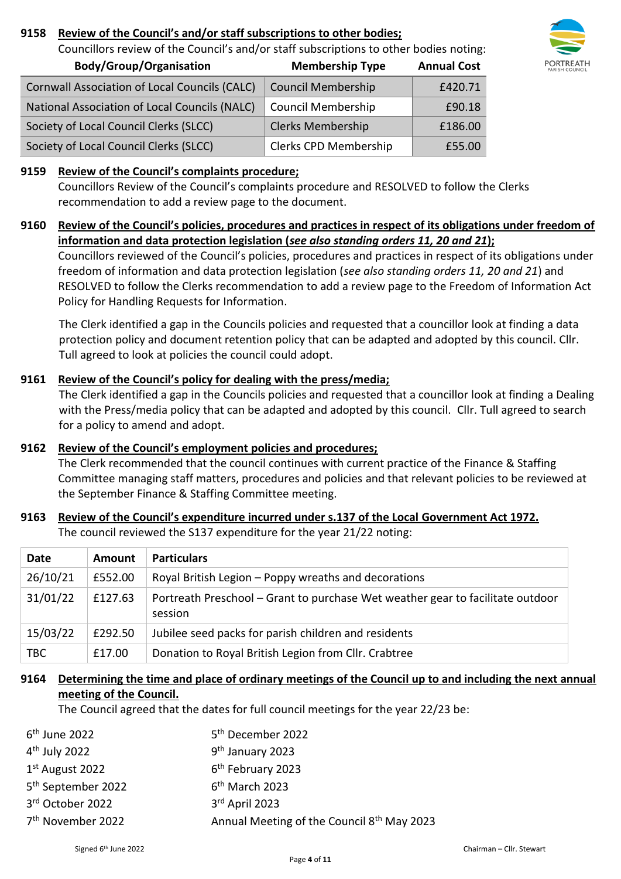# **9158 Review of the Council's and/or staff subscriptions to other bodies;**

Councillors review of the Council's and/or staff subscriptions to other bodies noting:



| <b>Body/Group/Organisation</b>                       | <b>Membership Type</b>    | <b>Annual Cost</b> |
|------------------------------------------------------|---------------------------|--------------------|
| <b>Cornwall Association of Local Councils (CALC)</b> | <b>Council Membership</b> | £420.71            |
| National Association of Local Councils (NALC)        | <b>Council Membership</b> | £90.18             |
| Society of Local Council Clerks (SLCC)               | <b>Clerks Membership</b>  | £186.00            |
| Society of Local Council Clerks (SLCC)               | Clerks CPD Membership     | £55.00             |

#### **9159 Review of the Council's complaints procedure;**

Councillors Review of the Council's complaints procedure and RESOLVED to follow the Clerks recommendation to add a review page to the document.

### **9160 Review of the Council's policies, procedures and practices in respect of its obligations under freedom of information and data protection legislation (***see also standing orders 11, 20 and 21***);**

Councillors reviewed of the Council's policies, procedures and practices in respect of its obligations under freedom of information and data protection legislation (*see also standing orders 11, 20 and 21*) and RESOLVED to follow the Clerks recommendation to add a review page to the Freedom of Information Act Policy for Handling Requests for Information.

The Clerk identified a gap in the Councils policies and requested that a councillor look at finding a data protection policy and document retention policy that can be adapted and adopted by this council. Cllr. Tull agreed to look at policies the council could adopt.

### **9161 Review of the Council's policy for dealing with the press/media;**

The Clerk identified a gap in the Councils policies and requested that a councillor look at finding a Dealing with the Press/media policy that can be adapted and adopted by this council. Cllr. Tull agreed to search for a policy to amend and adopt.

#### **9162 Review of the Council's employment policies and procedures;**

The Clerk recommended that the council continues with current practice of the Finance & Staffing Committee managing staff matters, procedures and policies and that relevant policies to be reviewed at the September Finance & Staffing Committee meeting.

### **9163 Review of the Council's expenditure incurred under s.137 of the Local Government Act 1972.**

The council reviewed the S137 expenditure for the year 21/22 noting:

| <b>Date</b> | Amount  | <b>Particulars</b>                                                                        |
|-------------|---------|-------------------------------------------------------------------------------------------|
| 26/10/21    | £552.00 | Royal British Legion – Poppy wreaths and decorations                                      |
| 31/01/22    | £127.63 | Portreath Preschool – Grant to purchase Wet weather gear to facilitate outdoor<br>session |
| 15/03/22    | £292.50 | Jubilee seed packs for parish children and residents                                      |
| <b>TBC</b>  | £17.00  | Donation to Royal British Legion from Cllr. Crabtree                                      |

# **9164 Determining the time and place of ordinary meetings of the Council up to and including the next annual meeting of the Council.**

The Council agreed that the dates for full council meetings for the year 22/23 be:

| $6th$ June 2022                | 5 <sup>th</sup> December 2022                          |
|--------------------------------|--------------------------------------------------------|
| $4th$ July 2022                | 9 <sup>th</sup> January 2023                           |
| 1st August 2022                | 6 <sup>th</sup> February 2023                          |
| 5 <sup>th</sup> September 2022 | 6 <sup>th</sup> March 2023                             |
| 3rd October 2022               | 3rd April 2023                                         |
| 7 <sup>th</sup> November 2022  | Annual Meeting of the Council 8 <sup>th</sup> May 2023 |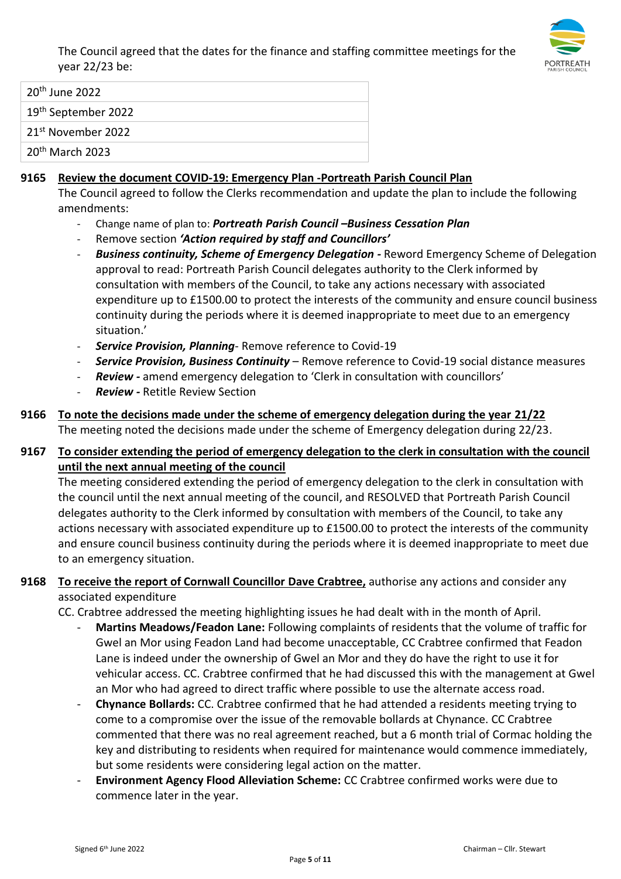

20th June 2022 19th September 2022

21st November 2022

20th March 2023

# **9165 Review the document COVID-19: Emergency Plan -Portreath Parish Council Plan**

The Council agreed to follow the Clerks recommendation and update the plan to include the following amendments:

- Change name of plan to: *Portreath Parish Council –Business Cessation Plan*
- Remove section *'Action required by staff and Councillors'*
- *Business continuity, Scheme of Emergency Delegation -* Reword Emergency Scheme of Delegation approval to read: Portreath Parish Council delegates authority to the Clerk informed by consultation with members of the Council, to take any actions necessary with associated expenditure up to £1500.00 to protect the interests of the community and ensure council business continuity during the periods where it is deemed inappropriate to meet due to an emergency situation.'
- *Service Provision, Planning* Remove reference to Covid-19
- *Service Provision, Business Continuity* Remove reference to Covid-19 social distance measures
- *Review -* amend emergency delegation to 'Clerk in consultation with councillors'
- **Review Retitle Review Section**

#### **9166 To note the decisions made under the scheme of emergency delegation during the year 21/22** The meeting noted the decisions made under the scheme of Emergency delegation during 22/23.

# **9167 To consider extending the period of emergency delegation to the clerk in consultation with the council until the next annual meeting of the council**

The meeting considered extending the period of emergency delegation to the clerk in consultation with the council until the next annual meeting of the council, and RESOLVED that Portreath Parish Council delegates authority to the Clerk informed by consultation with members of the Council, to take any actions necessary with associated expenditure up to £1500.00 to protect the interests of the community and ensure council business continuity during the periods where it is deemed inappropriate to meet due to an emergency situation.

# **9168 To receive the report of Cornwall Councillor Dave Crabtree,** authorise any actions and consider any associated expenditure

CC. Crabtree addressed the meeting highlighting issues he had dealt with in the month of April.

- Martins Meadows/Feadon Lane: Following complaints of residents that the volume of traffic for Gwel an Mor using Feadon Land had become unacceptable, CC Crabtree confirmed that Feadon Lane is indeed under the ownership of Gwel an Mor and they do have the right to use it for vehicular access. CC. Crabtree confirmed that he had discussed this with the management at Gwel an Mor who had agreed to direct traffic where possible to use the alternate access road.
- **Chynance Bollards:** CC. Crabtree confirmed that he had attended a residents meeting trying to come to a compromise over the issue of the removable bollards at Chynance. CC Crabtree commented that there was no real agreement reached, but a 6 month trial of Cormac holding the key and distributing to residents when required for maintenance would commence immediately, but some residents were considering legal action on the matter.
- **Environment Agency Flood Alleviation Scheme:** CC Crabtree confirmed works were due to commence later in the year.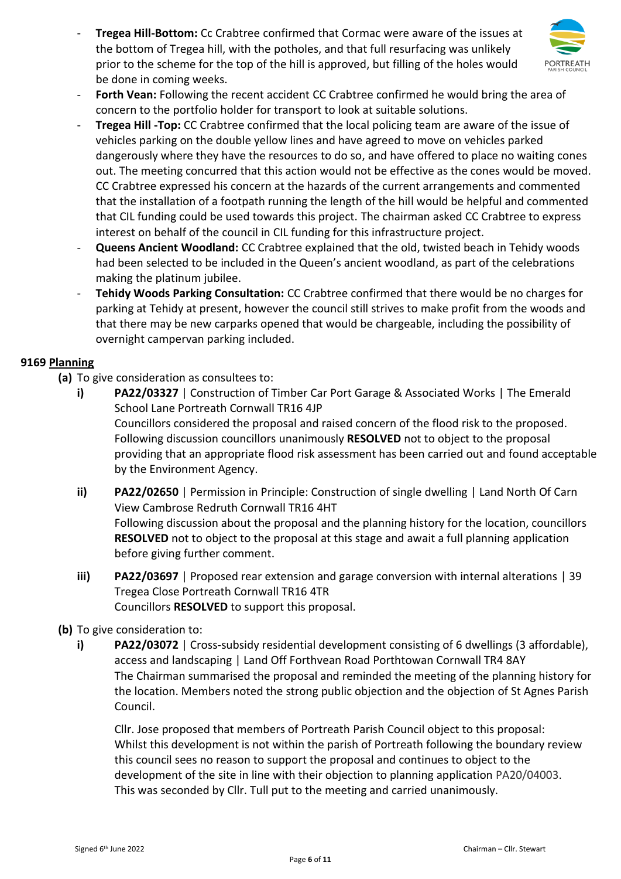- **Tregea Hill-Bottom:** Cc Crabtree confirmed that Cormac were aware of the issues at the bottom of Tregea hill, with the potholes, and that full resurfacing was unlikely prior to the scheme for the top of the hill is approved, but filling of the holes would be done in coming weeks.



- **Forth Vean:** Following the recent accident CC Crabtree confirmed he would bring the area of concern to the portfolio holder for transport to look at suitable solutions.
- **Tregea Hill -Top:** CC Crabtree confirmed that the local policing team are aware of the issue of vehicles parking on the double yellow lines and have agreed to move on vehicles parked dangerously where they have the resources to do so, and have offered to place no waiting cones out. The meeting concurred that this action would not be effective as the cones would be moved. CC Crabtree expressed his concern at the hazards of the current arrangements and commented that the installation of a footpath running the length of the hill would be helpful and commented that CIL funding could be used towards this project. The chairman asked CC Crabtree to express interest on behalf of the council in CIL funding for this infrastructure project.
- **Queens Ancient Woodland:** CC Crabtree explained that the old, twisted beach in Tehidy woods had been selected to be included in the Queen's ancient woodland, as part of the celebrations making the platinum jubilee.
- **Tehidy Woods Parking Consultation:** CC Crabtree confirmed that there would be no charges for parking at Tehidy at present, however the council still strives to make profit from the woods and that there may be new carparks opened that would be chargeable, including the possibility of overnight campervan parking included.

### **9169 Planning**

- **(a)** To give consideration as consultees to:
	- **i) PA22/03327** | Construction of Timber Car Port Garage & Associated Works | The Emerald School Lane Portreath Cornwall TR16 4JP Councillors considered the proposal and raised concern of the flood risk to the proposed. Following discussion councillors unanimously **RESOLVED** not to object to the proposal providing that an appropriate flood risk assessment has been carried out and found acceptable by the Environment Agency.
	- **ii) PA22/02650** | Permission in Principle: Construction of single dwelling | Land North Of Carn View Cambrose Redruth Cornwall TR16 4HT Following discussion about the proposal and the planning history for the location, councillors **RESOLVED** not to object to the proposal at this stage and await a full planning application before giving further comment.
	- **iii) PA22/03697** | Proposed rear extension and garage conversion with internal alterations | 39 Tregea Close Portreath Cornwall TR16 4TR Councillors **RESOLVED** to support this proposal.

### **(b)** To give consideration to:

**i) PA22/03072** | Cross-subsidy residential development consisting of 6 dwellings (3 affordable), access and landscaping | Land Off Forthvean Road Porthtowan Cornwall TR4 8AY The Chairman summarised the proposal and reminded the meeting of the planning history for the location. Members noted the strong public objection and the objection of St Agnes Parish Council.

Cllr. Jose proposed that members of Portreath Parish Council object to this proposal: Whilst this development is not within the parish of Portreath following the boundary review this council sees no reason to support the proposal and continues to object to the development of the site in line with their objection to planning application PA20/04003. This was seconded by Cllr. Tull put to the meeting and carried unanimously.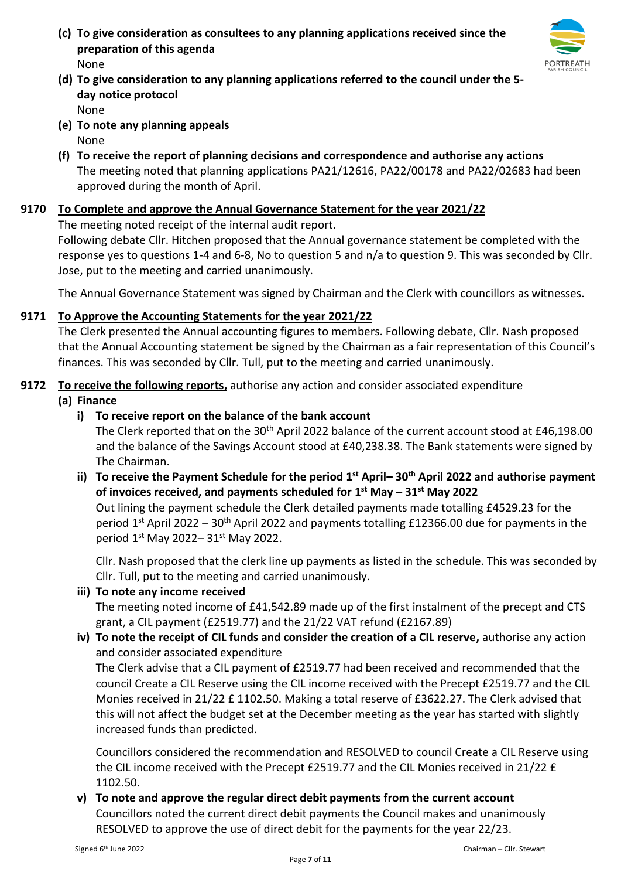**(c) To give consideration as consultees to any planning applications received since the preparation of this agenda** None



- **(d) To give consideration to any planning applications referred to the council under the 5 day notice protocol**  None
- **(e) To note any planning appeals** None
- **(f) To receive the report of planning decisions and correspondence and authorise any actions** The meeting noted that planning applications PA21/12616, PA22/00178 and PA22/02683 had been approved during the month of April.

# **9170 To Complete and approve the Annual Governance Statement for the year 2021/22**

The meeting noted receipt of the internal audit report.

Following debate Cllr. Hitchen proposed that the Annual governance statement be completed with the response yes to questions 1-4 and 6-8, No to question 5 and n/a to question 9. This was seconded by Cllr. Jose, put to the meeting and carried unanimously.

The Annual Governance Statement was signed by Chairman and the Clerk with councillors as witnesses.

### **9171 To Approve the Accounting Statements for the year 2021/22**

The Clerk presented the Annual accounting figures to members. Following debate, Cllr. Nash proposed that the Annual Accounting statement be signed by the Chairman as a fair representation of this Council's finances. This was seconded by Cllr. Tull, put to the meeting and carried unanimously.

# **9172 To receive the following reports,** authorise any action and consider associated expenditure

#### **(a) Finance**

**i) To receive report on the balance of the bank account** 

The Clerk reported that on the 30<sup>th</sup> April 2022 balance of the current account stood at £46,198.00 and the balance of the Savings Account stood at £40,238.38. The Bank statements were signed by The Chairman.

ii) To receive the Payment Schedule for the period 1<sup>st</sup> April– 30<sup>th</sup> April 2022 and authorise payment **of invoices received, and payments scheduled for 1 st May – 31st May 2022**

Out lining the payment schedule the Clerk detailed payments made totalling £4529.23 for the period 1<sup>st</sup> April 2022 – 30<sup>th</sup> April 2022 and payments totalling £12366.00 due for payments in the period 1st May 2022-31st May 2022.

Cllr. Nash proposed that the clerk line up payments as listed in the schedule. This was seconded by Cllr. Tull, put to the meeting and carried unanimously.

### **iii) To note any income received**

The meeting noted income of £41,542.89 made up of the first instalment of the precept and CTS grant, a CIL payment (£2519.77) and the 21/22 VAT refund (£2167.89)

# **iv) To note the receipt of CIL funds and consider the creation of a CIL reserve,** authorise any action and consider associated expenditure

The Clerk advise that a CIL payment of £2519.77 had been received and recommended that the council Create a CIL Reserve using the CIL income received with the Precept £2519.77 and the CIL Monies received in 21/22 £ 1102.50. Making a total reserve of £3622.27. The Clerk advised that this will not affect the budget set at the December meeting as the year has started with slightly increased funds than predicted.

Councillors considered the recommendation and RESOLVED to council Create a CIL Reserve using the CIL income received with the Precept £2519.77 and the CIL Monies received in 21/22 £ 1102.50.

**v) To note and approve the regular direct debit payments from the current account** Councillors noted the current direct debit payments the Council makes and unanimously RESOLVED to approve the use of direct debit for the payments for the year 22/23.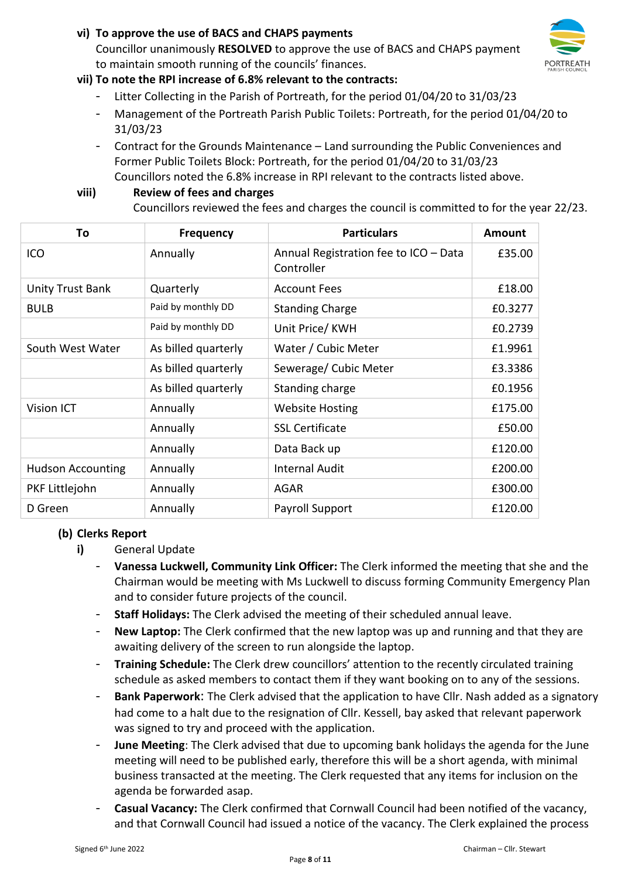#### **vi) To approve the use of BACS and CHAPS payments**  Councillor unanimously **RESOLVED** to approve the use of BACS and CHAPS payment to maintain smooth running of the councils' finances.



# **vii) To note the RPI increase of 6.8% relevant to the contracts:**

- Litter Collecting in the Parish of Portreath, for the period 01/04/20 to 31/03/23
- Management of the Portreath Parish Public Toilets: Portreath, for the period 01/04/20 to 31/03/23
- Contract for the Grounds Maintenance Land surrounding the Public Conveniences and Former Public Toilets Block: Portreath, for the period 01/04/20 to 31/03/23 Councillors noted the 6.8% increase in RPI relevant to the contracts listed above.

# **viii) Review of fees and charges**

Councillors reviewed the fees and charges the council is committed to for the year 22/23.

| To                       | <b>Frequency</b>    | <b>Particulars</b>                                  | <b>Amount</b> |
|--------------------------|---------------------|-----------------------------------------------------|---------------|
| ICO                      | Annually            | Annual Registration fee to ICO - Data<br>Controller | £35.00        |
| <b>Unity Trust Bank</b>  | Quarterly           | <b>Account Fees</b>                                 | £18.00        |
| <b>BULB</b>              | Paid by monthly DD  | <b>Standing Charge</b>                              | £0.3277       |
|                          | Paid by monthly DD  | Unit Price/KWH                                      | £0.2739       |
| South West Water         | As billed quarterly | Water / Cubic Meter                                 | £1.9961       |
|                          | As billed quarterly | Sewerage/ Cubic Meter                               | £3.3386       |
|                          | As billed quarterly | Standing charge                                     | £0.1956       |
| <b>Vision ICT</b>        | Annually            | <b>Website Hosting</b>                              | £175.00       |
|                          | Annually            | <b>SSL Certificate</b>                              | £50.00        |
|                          | Annually            | Data Back up                                        | £120.00       |
| <b>Hudson Accounting</b> | Annually            | <b>Internal Audit</b>                               | £200.00       |
| PKF Littlejohn           | Annually            | <b>AGAR</b>                                         | £300.00       |
| D Green                  | Annually            | Payroll Support                                     | £120.00       |

### **(b) Clerks Report**

- **i)** General Update
	- **Vanessa Luckwell, Community Link Officer:** The Clerk informed the meeting that she and the Chairman would be meeting with Ms Luckwell to discuss forming Community Emergency Plan and to consider future projects of the council.
	- **Staff Holidays:** The Clerk advised the meeting of their scheduled annual leave.
	- **New Laptop:** The Clerk confirmed that the new laptop was up and running and that they are awaiting delivery of the screen to run alongside the laptop.
	- **Training Schedule:** The Clerk drew councillors' attention to the recently circulated training schedule as asked members to contact them if they want booking on to any of the sessions.
	- **Bank Paperwork**: The Clerk advised that the application to have Cllr. Nash added as a signatory had come to a halt due to the resignation of Cllr. Kessell, bay asked that relevant paperwork was signed to try and proceed with the application.
	- **June Meeting**: The Clerk advised that due to upcoming bank holidays the agenda for the June meeting will need to be published early, therefore this will be a short agenda, with minimal business transacted at the meeting. The Clerk requested that any items for inclusion on the agenda be forwarded asap.
	- **Casual Vacancy:** The Clerk confirmed that Cornwall Council had been notified of the vacancy, and that Cornwall Council had issued a notice of the vacancy. The Clerk explained the process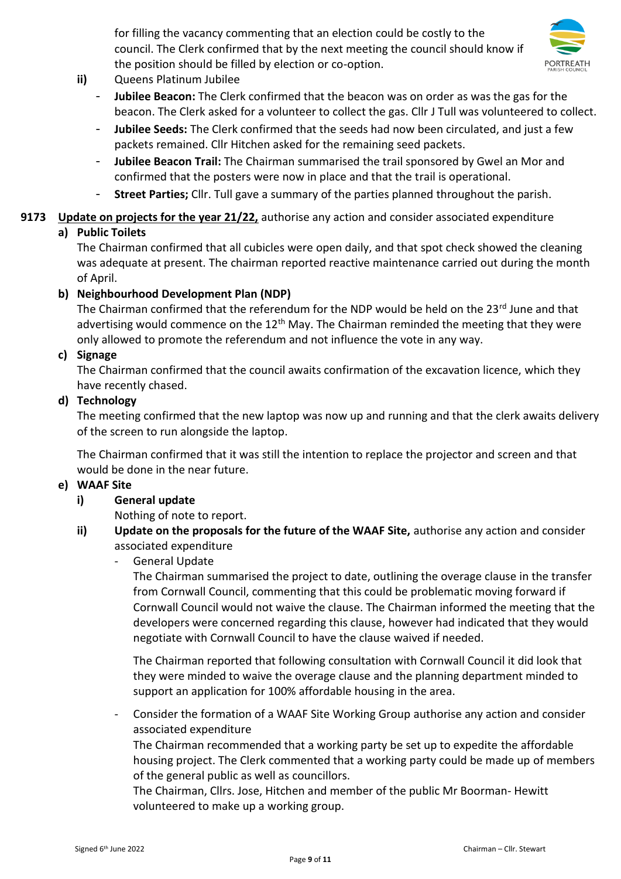for filling the vacancy commenting that an election could be costly to the council. The Clerk confirmed that by the next meeting the council should know if the position should be filled by election or co-option.



# **ii)** Queens Platinum Jubilee

- **Jubilee Beacon:** The Clerk confirmed that the beacon was on order as was the gas for the beacon. The Clerk asked for a volunteer to collect the gas. Cllr J Tull was volunteered to collect.
- Jubilee Seeds: The Clerk confirmed that the seeds had now been circulated, and just a few packets remained. Cllr Hitchen asked for the remaining seed packets.
- **Jubilee Beacon Trail:** The Chairman summarised the trail sponsored by Gwel an Mor and confirmed that the posters were now in place and that the trail is operational.
- **Street Parties;** Cllr. Tull gave a summary of the parties planned throughout the parish.

# **9173 Update on projects for the year 21/22,** authorise any action and consider associated expenditure

# **a) Public Toilets**

The Chairman confirmed that all cubicles were open daily, and that spot check showed the cleaning was adequate at present. The chairman reported reactive maintenance carried out during the month of April.

# **b) Neighbourhood Development Plan (NDP)**

The Chairman confirmed that the referendum for the NDP would be held on the 23 $^{\text{rd}}$  June and that advertising would commence on the  $12<sup>th</sup>$  May. The Chairman reminded the meeting that they were only allowed to promote the referendum and not influence the vote in any way.

# **c) Signage**

The Chairman confirmed that the council awaits confirmation of the excavation licence, which they have recently chased.

### **d) Technology**

The meeting confirmed that the new laptop was now up and running and that the clerk awaits delivery of the screen to run alongside the laptop.

The Chairman confirmed that it was still the intention to replace the projector and screen and that would be done in the near future.

### **e) WAAF Site**

### **i) General update**

Nothing of note to report.

**ii) Update on the proposals for the future of the WAAF Site,** authorise any action and consider associated expenditure

### General Update

The Chairman summarised the project to date, outlining the overage clause in the transfer from Cornwall Council, commenting that this could be problematic moving forward if Cornwall Council would not waive the clause. The Chairman informed the meeting that the developers were concerned regarding this clause, however had indicated that they would negotiate with Cornwall Council to have the clause waived if needed.

The Chairman reported that following consultation with Cornwall Council it did look that they were minded to waive the overage clause and the planning department minded to support an application for 100% affordable housing in the area.

- Consider the formation of a WAAF Site Working Group authorise any action and consider associated expenditure

The Chairman recommended that a working party be set up to expedite the affordable housing project. The Clerk commented that a working party could be made up of members of the general public as well as councillors.

The Chairman, Cllrs. Jose, Hitchen and member of the public Mr Boorman- Hewitt volunteered to make up a working group.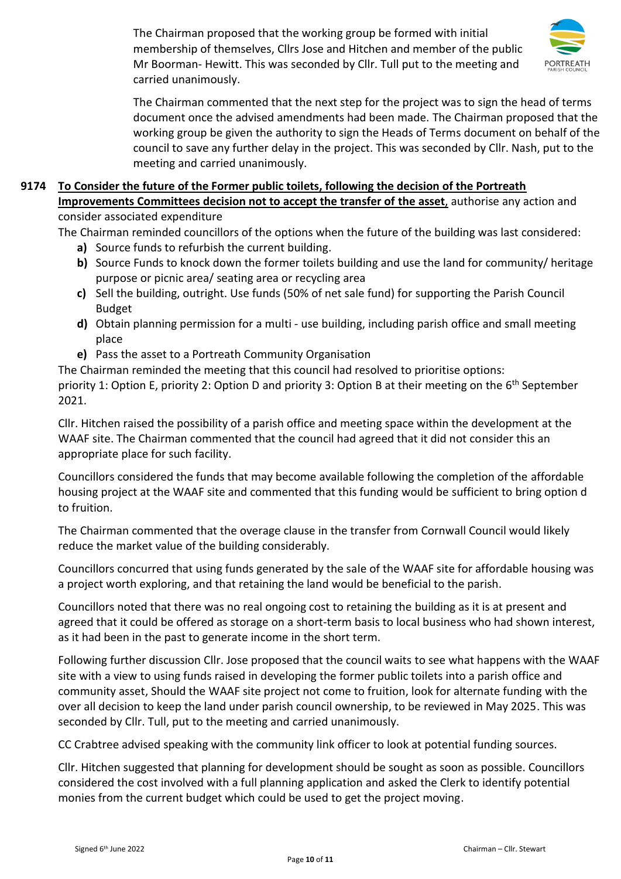The Chairman proposed that the working group be formed with initial membership of themselves, Cllrs Jose and Hitchen and member of the public Mr Boorman- Hewitt. This was seconded by Cllr. Tull put to the meeting and carried unanimously.



The Chairman commented that the next step for the project was to sign the head of terms document once the advised amendments had been made. The Chairman proposed that the working group be given the authority to sign the Heads of Terms document on behalf of the council to save any further delay in the project. This was seconded by Cllr. Nash, put to the meeting and carried unanimously.

#### **9174 To Consider the future of the Former public toilets, following the decision of the Portreath Improvements Committees decision not to accept the transfer of the asset**, authorise any action and

consider associated expenditure

The Chairman reminded councillors of the options when the future of the building was last considered:

- **a)** Source funds to refurbish the current building.
- **b)** Source Funds to knock down the former toilets building and use the land for community/ heritage purpose or picnic area/ seating area or recycling area
- **c)** Sell the building, outright. Use funds (50% of net sale fund) for supporting the Parish Council Budget
- **d)** Obtain planning permission for a multi use building, including parish office and small meeting place
- **e)** Pass the asset to a Portreath Community Organisation

The Chairman reminded the meeting that this council had resolved to prioritise options:

priority 1: Option E, priority 2: Option D and priority 3: Option B at their meeting on the 6<sup>th</sup> September 2021.

Cllr. Hitchen raised the possibility of a parish office and meeting space within the development at the WAAF site. The Chairman commented that the council had agreed that it did not consider this an appropriate place for such facility.

Councillors considered the funds that may become available following the completion of the affordable housing project at the WAAF site and commented that this funding would be sufficient to bring option d to fruition.

The Chairman commented that the overage clause in the transfer from Cornwall Council would likely reduce the market value of the building considerably.

Councillors concurred that using funds generated by the sale of the WAAF site for affordable housing was a project worth exploring, and that retaining the land would be beneficial to the parish.

Councillors noted that there was no real ongoing cost to retaining the building as it is at present and agreed that it could be offered as storage on a short-term basis to local business who had shown interest, as it had been in the past to generate income in the short term.

Following further discussion Cllr. Jose proposed that the council waits to see what happens with the WAAF site with a view to using funds raised in developing the former public toilets into a parish office and community asset, Should the WAAF site project not come to fruition, look for alternate funding with the over all decision to keep the land under parish council ownership, to be reviewed in May 2025. This was seconded by Cllr. Tull, put to the meeting and carried unanimously.

CC Crabtree advised speaking with the community link officer to look at potential funding sources.

Cllr. Hitchen suggested that planning for development should be sought as soon as possible. Councillors considered the cost involved with a full planning application and asked the Clerk to identify potential monies from the current budget which could be used to get the project moving.